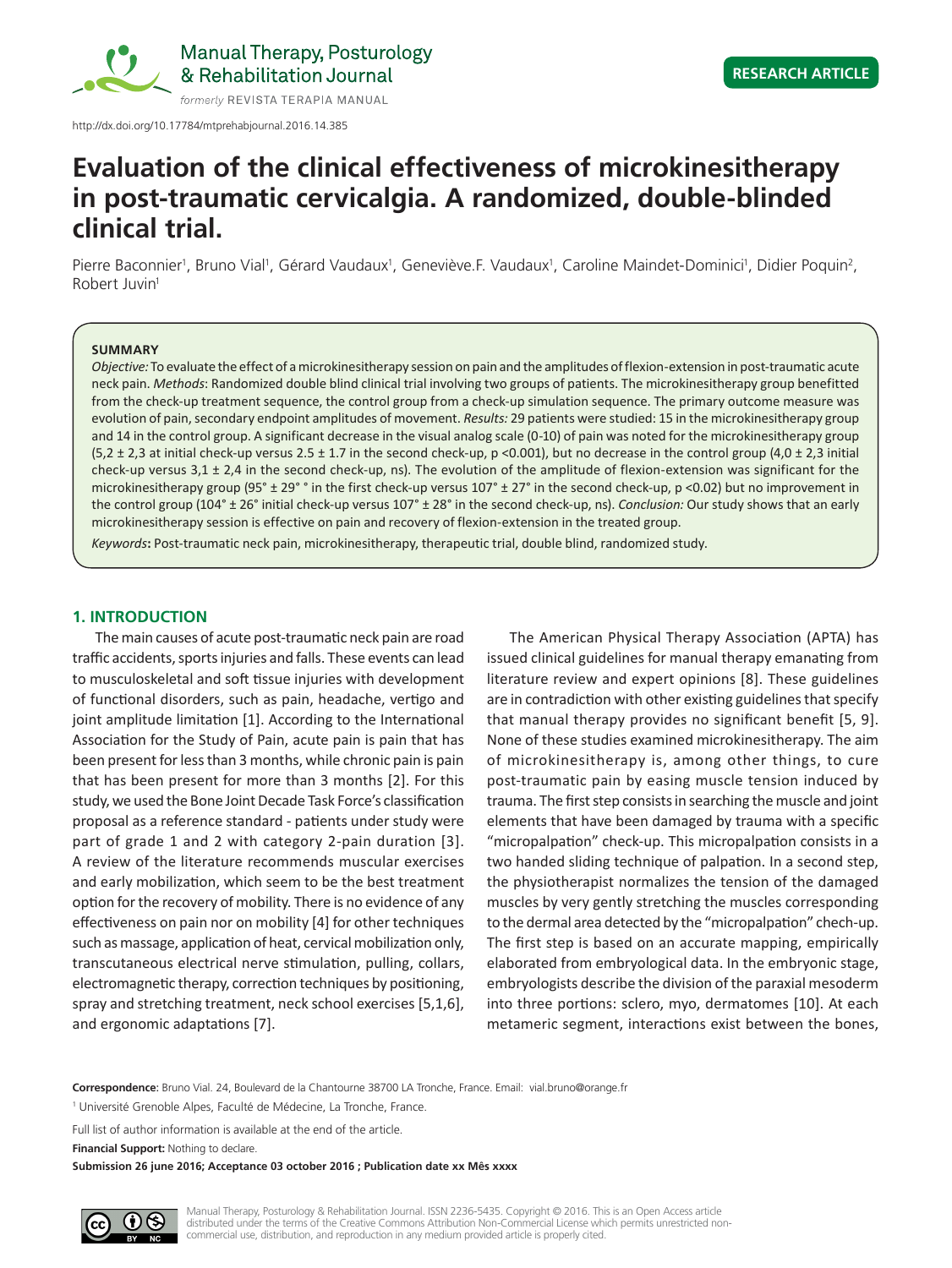

http://dx.doi.org/10.17784/mtprehabjournal.2016.14.385

# **Evaluation of the clinical effectiveness of microkinesitherapy in post-traumatic cervicalgia. A randomized, double-blinded clinical trial.**

Pierre Baconnier<sup>1</sup>, Bruno Vial<sup>1</sup>, Gérard Vaudaux<sup>1</sup>, Geneviève.F. Vaudaux<sup>1</sup>, Caroline Maindet-Dominici<sup>1</sup>, Didier Poquin<sup>2</sup>, Robert Juvin1

#### **SUMMARY**

*Objective:* To evaluate the effect of a microkinesitherapy session on pain and the amplitudes of flexion-extension in post-traumatic acute neck pain. *Methods*: Randomized double blind clinical trial involving two groups of patients. The microkinesitherapy group benefitted from the check-up treatment sequence, the control group from a check-up simulation sequence. The primary outcome measure was evolution of pain, secondary endpoint amplitudes of movement. *Results:* 29 patients were studied: 15 in the microkinesitherapy group and 14 in the control group. A significant decrease in the visual analog scale (0-10) of pain was noted for the microkinesitherapy group  $(5,2 \pm 2,3$  at initial check-up versus 2.5  $\pm$  1.7 in the second check-up, p <0.001), but no decrease in the control group (4,0  $\pm$  2,3 initial check-up versus  $3,1 \pm 2,4$  in the second check-up, ns). The evolution of the amplitude of flexion-extension was significant for the microkinesitherapy group (95° ± 29° ° in the first check-up versus 107° ± 27° in the second check-up, p <0.02) but no improvement in the control group (104° ± 26° initial check-up versus 107° ± 28° in the second check-up, ns). *Conclusion:* Our study shows that an early microkinesitherapy session is effective on pain and recovery of flexion-extension in the treated group.

*Keywords***:** Post-traumatic neck pain, microkinesitherapy, therapeutic trial, double blind, randomized study.

#### **1. INTRODUCTION**

The main causes of acute post-traumatic neck pain are road traffic accidents, sports injuries and falls. These events can lead to musculoskeletal and soft tissue injuries with development of functional disorders, such as pain, headache, vertigo and joint amplitude limitation [1]. According to the International Association for the Study of Pain, acute pain is pain that has been present for less than 3 months, while chronic pain is pain that has been present for more than 3 months [2]. For this study, we used the Bone Joint Decade Task Force's classification proposal as a reference standard - patients under study were part of grade 1 and 2 with category 2-pain duration [3]. A review of the literature recommends muscular exercises and early mobilization, which seem to be the best treatment option for the recovery of mobility. There is no evidence of any effectiveness on pain nor on mobility [4] for other techniques such as massage, application of heat, cervical mobilization only, transcutaneous electrical nerve stimulation, pulling, collars, electromagnetic therapy, correction techniques by positioning, spray and stretching treatment, neck school exercises [5,1,6], and ergonomic adaptations [7].

The American Physical Therapy Association (APTA) has issued clinical guidelines for manual therapy emanating from literature review and expert opinions [8]. These guidelines are in contradiction with other existing guidelines that specify that manual therapy provides no significant benefit [5, 9]. None of these studies examined microkinesitherapy. The aim of microkinesitherapy is, among other things, to cure post-traumatic pain by easing muscle tension induced by trauma. The first step consists in searching the muscle and joint elements that have been damaged by trauma with a specific "micropalpation" check-up. This micropalpation consists in a two handed sliding technique of palpation. In a second step, the physiotherapist normalizes the tension of the damaged muscles by very gently stretching the muscles corresponding to the dermal area detected by the "micropalpation" chech‑up. The first step is based on an accurate mapping, empirically elaborated from embryological data. In the embryonic stage, embryologists describe the division of the paraxial mesoderm into three portions: sclero, myo, dermatomes [10]. At each metameric segment, interactions exist between the bones,

**Correspondence**: Bruno Vial. 24, Boulevard de la Chantourne 38700 LA Tronche, France. Email: vial.bruno@orange.fr

<sup>1</sup> Université Grenoble Alpes, Faculté de Médecine, La Tronche, France.

Full list of author information is available at the end of the article.

**Financial Support:** Nothing to declare.

**Submission 26 june 2016; Acceptance 03 october 2016 ; Publication date xx Mês xxxx**

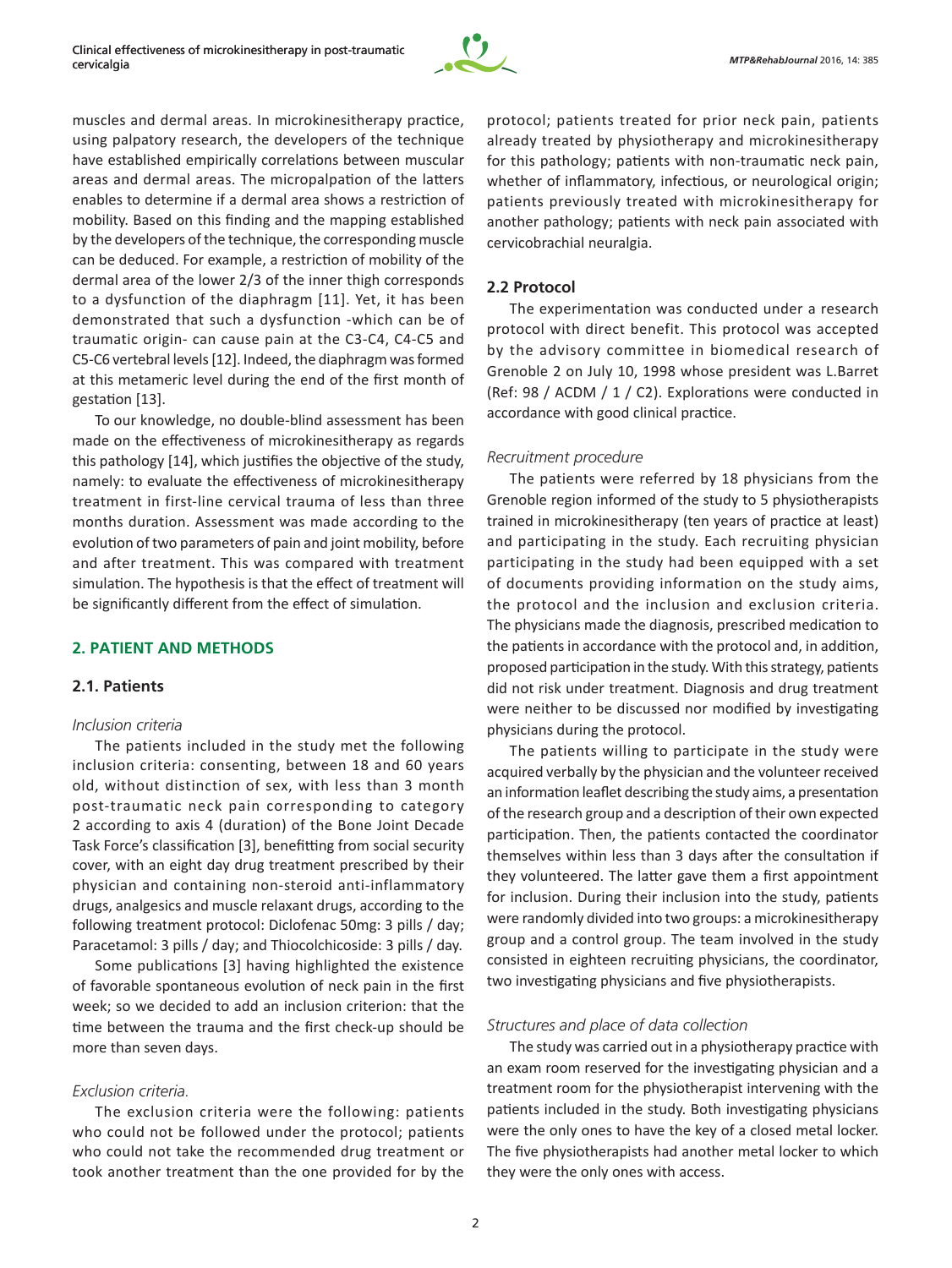

muscles and dermal areas. In microkinesitherapy practice, using palpatory research, the developers of the technique have established empirically correlations between muscular areas and dermal areas. The micropalpation of the latters enables to determine if a dermal area shows a restriction of mobility. Based on this finding and the mapping established by the developers of the technique, the corresponding muscle can be deduced. For example, a restriction of mobility of the dermal area of the lower 2/3 of the inner thigh corresponds to a dysfunction of the diaphragm [11]. Yet, it has been demonstrated that such a dysfunction -which can be of traumatic origin- can cause pain at the C3-C4, C4-C5 and C5‑C6 vertebral levels [12]. Indeed, the diaphragm was formed at this metameric level during the end of the first month of gestation [13].

To our knowledge, no double-blind assessment has been made on the effectiveness of microkinesitherapy as regards this pathology [14], which justifies the objective of the study, namely: to evaluate the effectiveness of microkinesitherapy treatment in first-line cervical trauma of less than three months duration. Assessment was made according to the evolution of two parameters of pain and joint mobility, before and after treatment. This was compared with treatment simulation. The hypothesis is that the effect of treatment will be significantly different from the effect of simulation.

## **2. PATIENT AND METHODS**

# **2.1. Patients**

#### *Inclusion criteria*

The patients included in the study met the following inclusion criteria: consenting, between 18 and 60 years old, without distinction of sex, with less than 3 month post-traumatic neck pain corresponding to category 2 according to axis 4 (duration) of the Bone Joint Decade Task Force's classification [3], benefitting from social security cover, with an eight day drug treatment prescribed by their physician and containing non-steroid anti-inflammatory drugs, analgesics and muscle relaxant drugs, according to the following treatment protocol: Diclofenac 50mg: 3 pills / day; Paracetamol: 3 pills / day; and Thiocolchicoside: 3 pills / day.

Some publications [3] having highlighted the existence of favorable spontaneous evolution of neck pain in the first week; so we decided to add an inclusion criterion: that the time between the trauma and the first check-up should be more than seven days.

#### *Exclusion criteria.*

The exclusion criteria were the following: patients who could not be followed under the protocol; patients who could not take the recommended drug treatment or took another treatment than the one provided for by the

protocol; patients treated for prior neck pain, patients already treated by physiotherapy and microkinesitherapy for this pathology; patients with non-traumatic neck pain, whether of inflammatory, infectious, or neurological origin; patients previously treated with microkinesitherapy for another pathology; patients with neck pain associated with cervicobrachial neuralgia.

### **2.2 Protocol**

The experimentation was conducted under a research protocol with direct benefit. This protocol was accepted by the advisory committee in biomedical research of Grenoble 2 on July 10, 1998 whose president was L.Barret (Ref: 98 / ACDM / 1 / C2). Explorations were conducted in accordance with good clinical practice.

#### *Recruitment procedure*

The patients were referred by 18 physicians from the Grenoble region informed of the study to 5 physiotherapists trained in microkinesitherapy (ten years of practice at least) and participating in the study. Each recruiting physician participating in the study had been equipped with a set of documents providing information on the study aims, the protocol and the inclusion and exclusion criteria. The physicians made the diagnosis, prescribed medication to the patients in accordance with the protocol and, in addition, proposed participation in the study. With this strategy, patients did not risk under treatment. Diagnosis and drug treatment were neither to be discussed nor modified by investigating physicians during the protocol.

The patients willing to participate in the study were acquired verbally by the physician and the volunteer received an information leaflet describing the study aims, a presentation of the research group and a description of their own expected participation. Then, the patients contacted the coordinator themselves within less than 3 days after the consultation if they volunteered. The latter gave them a first appointment for inclusion. During their inclusion into the study, patients were randomly divided into two groups: a microkinesitherapy group and a control group. The team involved in the study consisted in eighteen recruiting physicians, the coordinator, two investigating physicians and five physiotherapists.

## *Structures and place of data collection*

The study was carried out in a physiotherapy practice with an exam room reserved for the investigating physician and a treatment room for the physiotherapist intervening with the patients included in the study. Both investigating physicians were the only ones to have the key of a closed metal locker. The five physiotherapists had another metal locker to which they were the only ones with access.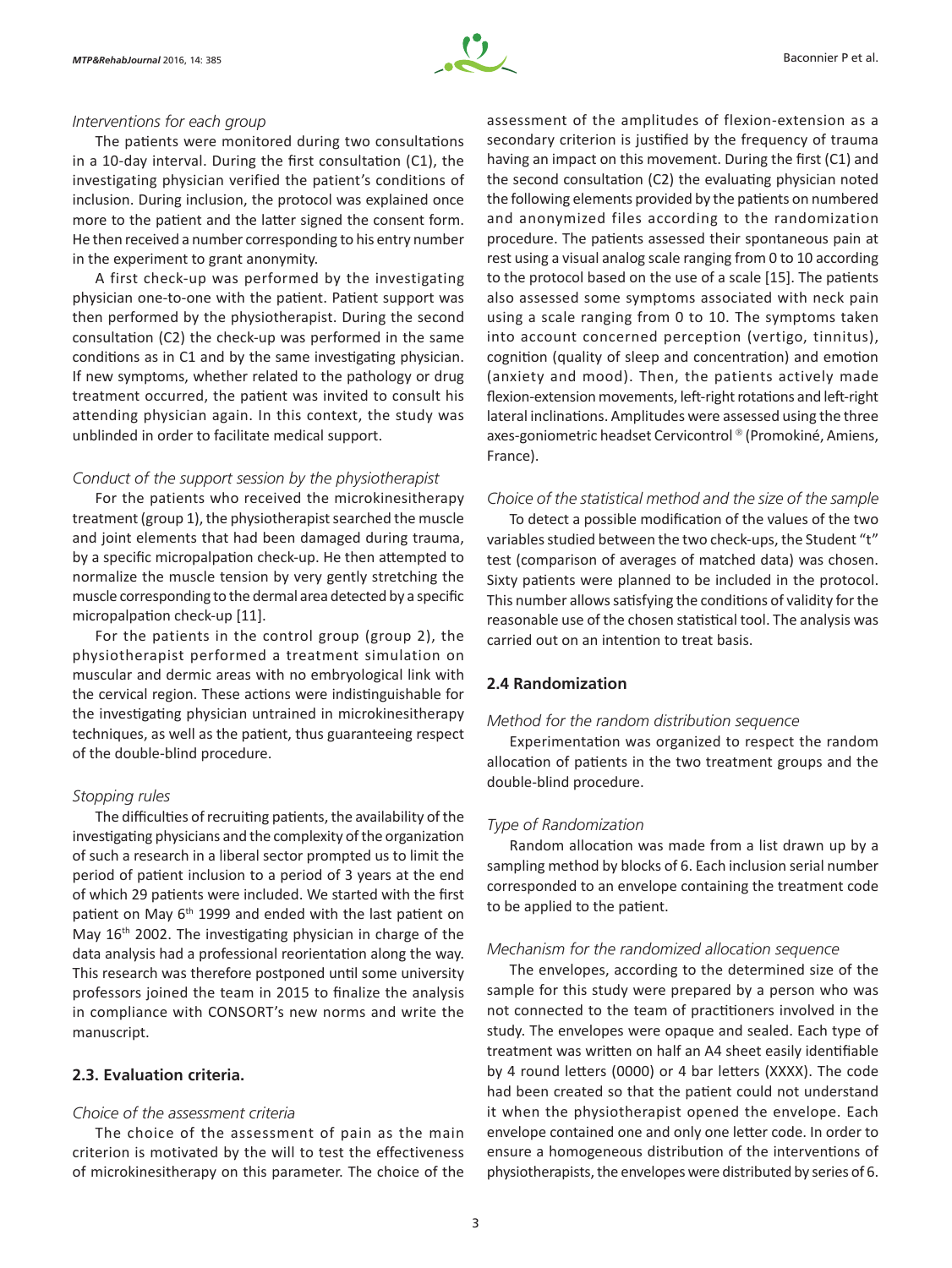

#### *Interventions for each group*

The patients were monitored during two consultations in a 10-day interval. During the first consultation (C1), the investigating physician verified the patient's conditions of inclusion. During inclusion, the protocol was explained once more to the patient and the latter signed the consent form. He then received a number corresponding to his entry number in the experiment to grant anonymity.

A first check-up was performed by the investigating physician one-to-one with the patient. Patient support was then performed by the physiotherapist. During the second consultation (C2) the check-up was performed in the same conditions as in C1 and by the same investigating physician. If new symptoms, whether related to the pathology or drug treatment occurred, the patient was invited to consult his attending physician again. In this context, the study was unblinded in order to facilitate medical support.

#### *Conduct of the support session by the physiotherapist*

For the patients who received the microkinesitherapy treatment (group 1), the physiotherapist searched the muscle and joint elements that had been damaged during trauma, by a specific micropalpation check-up. He then attempted to normalize the muscle tension by very gently stretching the muscle corresponding to the dermal area detected by a specific micropalpation check-up [11].

For the patients in the control group (group 2), the physiotherapist performed a treatment simulation on muscular and dermic areas with no embryological link with the cervical region. These actions were indistinguishable for the investigating physician untrained in microkinesitherapy techniques, as well as the patient, thus guaranteeing respect of the double-blind procedure.

#### *Stopping rules*

The difficulties of recruiting patients, the availability of the investigating physicians and the complexity of the organization of such a research in a liberal sector prompted us to limit the period of patient inclusion to a period of 3 years at the end of which 29 patients were included. We started with the first patient on May 6<sup>th</sup> 1999 and ended with the last patient on May 16<sup>th</sup> 2002. The investigating physician in charge of the data analysis had a professional reorientation along the way. This research was therefore postponed until some university professors joined the team in 2015 to finalize the analysis in compliance with CONSORT's new norms and write the manuscript.

# **2.3. Evaluation criteria.**

## *Choice of the assessment criteria*

The choice of the assessment of pain as the main criterion is motivated by the will to test the effectiveness of microkinesitherapy on this parameter. The choice of the assessment of the amplitudes of flexion-extension as a secondary criterion is justified by the frequency of trauma having an impact on this movement. During the first (C1) and the second consultation (C2) the evaluating physician noted the following elements provided by the patients on numbered and anonymized files according to the randomization procedure. The patients assessed their spontaneous pain at rest using a visual analog scale ranging from 0 to 10 according to the protocol based on the use of a scale [15]. The patients also assessed some symptoms associated with neck pain using a scale ranging from 0 to 10. The symptoms taken into account concerned perception (vertigo, tinnitus), cognition (quality of sleep and concentration) and emotion (anxiety and mood). Then, the patients actively made flexion-extension movements, left-right rotations and left-right lateral inclinations. Amplitudes were assessed using the three axes-goniometric headset Cervicontrol ® (Promokiné, Amiens, France).

#### *Choice of the statistical method and the size of the sample*

To detect a possible modification of the values of the two variables studied between the two check-ups, the Student "t" test (comparison of averages of matched data) was chosen. Sixty patients were planned to be included in the protocol. This number allows satisfying the conditions of validity for the reasonable use of the chosen statistical tool. The analysis was carried out on an intention to treat basis.

## **2.4 Randomization**

#### *Method for the random distribution sequence*

Experimentation was organized to respect the random allocation of patients in the two treatment groups and the double-blind procedure.

#### *Type of Randomization*

Random allocation was made from a list drawn up by a sampling method by blocks of 6. Each inclusion serial number corresponded to an envelope containing the treatment code to be applied to the patient.

#### *Mechanism for the randomized allocation sequence*

The envelopes, according to the determined size of the sample for this study were prepared by a person who was not connected to the team of practitioners involved in the study. The envelopes were opaque and sealed. Each type of treatment was written on half an A4 sheet easily identifiable by 4 round letters (0000) or 4 bar letters (XXXX). The code had been created so that the patient could not understand it when the physiotherapist opened the envelope. Each envelope contained one and only one letter code. In order to ensure a homogeneous distribution of the interventions of physiotherapists, the envelopes were distributed by series of 6.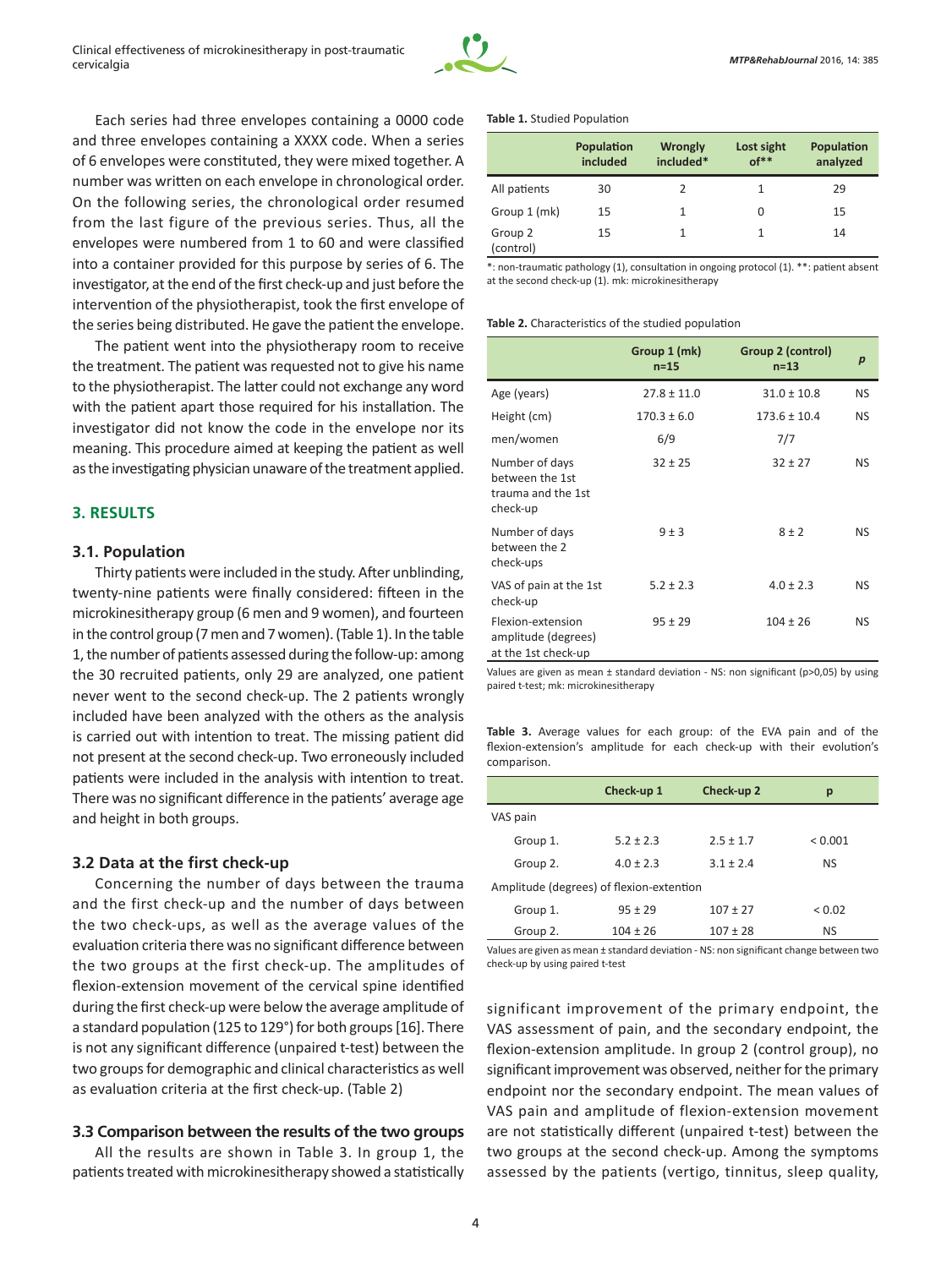

Each series had three envelopes containing a 0000 code and three envelopes containing a XXXX code. When a series of 6 envelopes were constituted, they were mixed together. A number was written on each envelope in chronological order. On the following series, the chronological order resumed from the last figure of the previous series. Thus, all the envelopes were numbered from 1 to 60 and were classified into a container provided for this purpose by series of 6. The investigator, at the end of the first check-up and just before the intervention of the physiotherapist, took the first envelope of the series being distributed. He gave the patient the envelope.

The patient went into the physiotherapy room to receive the treatment. The patient was requested not to give his name to the physiotherapist. The latter could not exchange any word with the patient apart those required for his installation. The investigator did not know the code in the envelope nor its meaning. This procedure aimed at keeping the patient as well as the investigating physician unaware of the treatment applied.

## **3. RESULTS**

#### **3.1. Population**

Thirty patients were included in the study. After unblinding, twenty-nine patients were finally considered: fifteen in the microkinesitherapy group (6 men and 9 women), and fourteen in the control group (7 men and 7 women). (Table 1). In the table 1, the number of patients assessed during the follow-up: among the 30 recruited patients, only 29 are analyzed, one patient never went to the second check-up. The 2 patients wrongly included have been analyzed with the others as the analysis is carried out with intention to treat. The missing patient did not present at the second check‑up. Two erroneously included patients were included in the analysis with intention to treat. There was no significant difference in the patients' average age and height in both groups.

#### **3.2 Data at the first check-up**

Concerning the number of days between the trauma and the first check-up and the number of days between the two check-ups, as well as the average values of the evaluation criteria there was no significant difference between the two groups at the first check-up. The amplitudes of flexion-extension movement of the cervical spine identified during the first check-up were below the average amplitude of a standard population (125 to 129°) for both groups [16]. There is not any significant difference (unpaired t-test) between the two groups for demographic and clinical characteristics as well as evaluation criteria at the first check-up. (Table 2)

#### **3.3 Comparison between the results of the two groups**

All the results are shown in Table 3. In group 1, the patients treated with microkinesitherapy showed a statistically

#### **Table 1.** Studied Population

|                      | Population<br>included | <b>Wrongly</b><br>included* | Lost sight<br>$of**$ | Population<br>analyzed |
|----------------------|------------------------|-----------------------------|----------------------|------------------------|
| All patients         | 30                     | 2                           | 1                    | 29                     |
| Group 1 (mk)         | 15                     | 1                           | 0                    | 15                     |
| Group 2<br>(control) | 15                     | 1                           |                      | 14                     |

\*: non-traumatic pathology (1), consultation in ongoing protocol (1). \*\*: patient absent at the second check-up (1). mk: microkinesitherapy

#### **Table 2.** Characteristics of the studied population

|                                                                     | Group 1 (mk)<br>$n=15$ | Group 2 (control)<br>$n=13$ | $\boldsymbol{p}$ |
|---------------------------------------------------------------------|------------------------|-----------------------------|------------------|
| Age (years)                                                         | $27.8 \pm 11.0$        | $31.0 \pm 10.8$             | <b>NS</b>        |
| Height (cm)                                                         | $170.3 \pm 6.0$        | $173.6 \pm 10.4$            | NS.              |
| men/women                                                           | 6/9                    | 7/7                         |                  |
| Number of days<br>between the 1st<br>trauma and the 1st<br>check-up | $32 \pm 25$            | $32 \pm 27$                 | NS               |
| Number of days<br>between the 2<br>check-ups                        | 9±3                    | $8 \pm 2$                   | NS               |
| VAS of pain at the 1st<br>check-up                                  | $5.2 \pm 2.3$          | $4.0 \pm 2.3$               | NS               |
| Flexion-extension<br>amplitude (degrees)<br>at the 1st check-up     | $95 \pm 29$            | $104 \pm 26$                | NS               |

Values are given as mean ± standard deviation - NS: non significant (p>0,05) by using paired t-test; mk: microkinesitherapy

**Table 3.** Average values for each group: of the EVA pain and of the flexion-extension's amplitude for each check-up with their evolution's comparison.

|                                          | Check-up 1    | Check-up 2    | р           |  |  |
|------------------------------------------|---------------|---------------|-------------|--|--|
| VAS pain                                 |               |               |             |  |  |
| Group 1.                                 | $5.2 \pm 2.3$ | $2.5 + 1.7$   | < 0.001     |  |  |
| Group 2.                                 | $4.0 \pm 2.3$ | $3.1 \pm 2.4$ | <b>NS</b>   |  |  |
| Amplitude (degrees) of flexion-extention |               |               |             |  |  |
| Group 1.                                 | $95 + 29$     | $107 + 27$    | ${}_{0.02}$ |  |  |
| Group 2.                                 | $104 \pm 26$  | $107 \pm 28$  | <b>NS</b>   |  |  |

Values are given as mean ± standard deviation - NS: non significant change between two check-up by using paired t-test

significant improvement of the primary endpoint, the VAS assessment of pain, and the secondary endpoint, the flexion-extension amplitude. In group 2 (control group), no significant improvement was observed, neither for the primary endpoint nor the secondary endpoint. The mean values of VAS pain and amplitude of flexion-extension movement are not statistically different (unpaired t-test) between the two groups at the second check-up. Among the symptoms assessed by the patients (vertigo, tinnitus, sleep quality,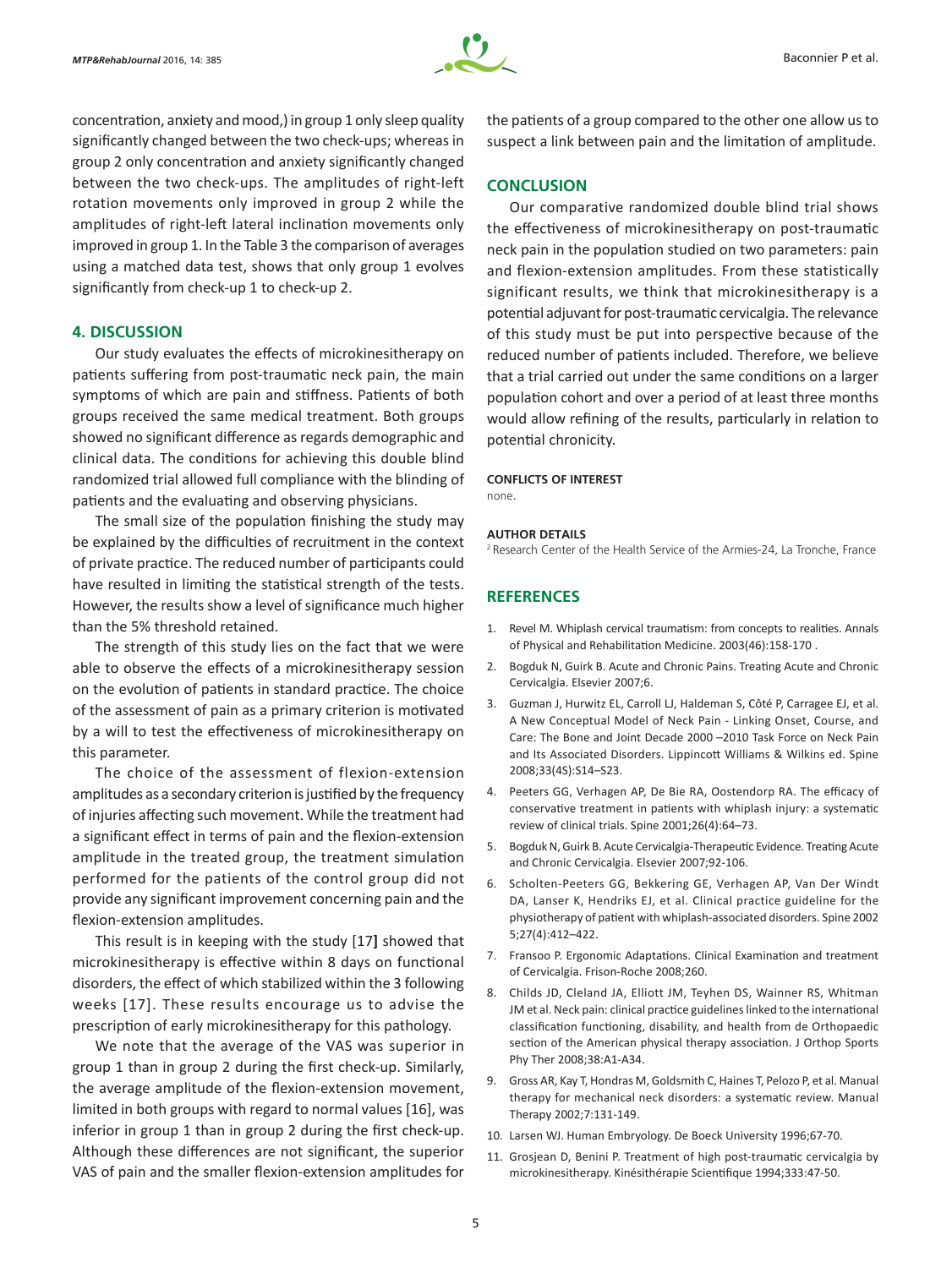

concentration, anxiety and mood,) in group 1 only sleep quality significantly changed between the two check-ups; whereas in group 2 only concentration and anxiety significantly changed between the two check-ups. The amplitudes of right-left rotation movements only improved in group 2 while the amplitudes of right-left lateral inclination movements only improved in group 1. In the Table 3 the comparison of averages using a matched data test, shows that only group 1 evolves significantly from check-up 1 to check-up 2.

## **4. DISCUSSION**

Our study evaluates the effects of microkinesitherapy on patients suffering from post-traumatic neck pain, the main symptoms of which are pain and stiffness. Patients of both groups received the same medical treatment. Both groups showed no significant difference as regards demographic and clinical data. The conditions for achieving this double blind randomized trial allowed full compliance with the blinding of patients and the evaluating and observing physicians.

The small size of the population finishing the study may be explained by the difficulties of recruitment in the context of private practice. The reduced number of participants could have resulted in limiting the statistical strength of the tests. However, the results show a level of significance much higher than the 5% threshold retained.

The strength of this study lies on the fact that we were able to observe the effects of a microkinesitherapy session on the evolution of patients in standard practice. The choice of the assessment of pain as a primary criterion is motivated by a will to test the effectiveness of microkinesitherapy on this parameter.

The choice of the assessment of flexion-extension amplitudes as a secondary criterion is justified by the frequency of injuries affecting such movement. While the treatment had a significant effect in terms of pain and the flexion-extension amplitude in the treated group, the treatment simulation performed for the patients of the control group did not provide any significant improvement concerning pain and the flexion-extension amplitudes.

This result is in keeping with the study [17**]** showed that microkinesitherapy is effective within 8 days on functional disorders, the effect of which stabilized within the 3 following weeks [17]. These results encourage us to advise the prescription of early microkinesitherapy for this pathology.

We note that the average of the VAS was superior in group 1 than in group 2 during the first check-up. Similarly, the average amplitude of the flexion-extension movement, limited in both groups with regard to normal values [16], was inferior in group 1 than in group 2 during the first check-up. Although these differences are not significant, the superior VAS of pain and the smaller flexion-extension amplitudes for

the patients of a group compared to the other one allow us to suspect a link between pain and the limitation of amplitude.

#### **CONCLUSION**

Our comparative randomized double blind trial shows the effectiveness of microkinesitherapy on post-traumatic neck pain in the population studied on two parameters: pain and flexion-extension amplitudes. From these statistically significant results, we think that microkinesitherapy is a potential adjuvant for post-traumatic cervicalgia. The relevance of this study must be put into perspective because of the reduced number of patients included. Therefore, we believe that a trial carried out under the same conditions on a larger population cohort and over a period of at least three months would allow refining of the results, particularly in relation to potential chronicity.

#### **CONFLICTS OF INTEREST**

none.

#### **AUTHOR DETAILS**

<sup>2</sup> Research Center of the Health Service of the Armies-24, La Tronche, France

## **REFERENCES**

- 1. Revel M. Whiplash cervical traumatism: from concepts to realities. Annals of Physical and Rehabilitation Medicine. 2003(46):158-170 .
- 2. Bogduk N, Guirk B. Acute and Chronic Pains. Treating Acute and Chronic Cervicalgia. Elsevier 2007;6.
- 3. Guzman J, Hurwitz EL, Carroll LJ, Haldeman S, Côté P, Carragee EJ, et al. A New Conceptual Model of Neck Pain - Linking Onset, Course, and Care: The Bone and Joint Decade 2000 –2010 Task Force on Neck Pain and Its Associated Disorders. Lippincott Williams & Wilkins ed. Spine 2008;33(4S):S14–S23.
- 4. Peeters GG, Verhagen AP, De Bie RA, Oostendorp RA. The efficacy of conservative treatment in patients with whiplash injury: a systematic review of clinical trials. Spine 2001;26(4):64–73.
- 5. Bogduk N, Guirk B. Acute Cervicalgia-Therapeutic Evidence. Treating Acute and Chronic Cervicalgia. Elsevier 2007;92-106.
- 6. Scholten-Peeters GG, Bekkering GE, Verhagen AP, Van Der Windt DA, Lanser K, Hendriks EJ, et al. Clinical practice guideline for the physiotherapy of patient with whiplash-associated disorders. Spine 2002 5;27(4):412–422.
- 7. Fransoo P. Ergonomic Adaptations. Clinical Examination and treatment of Cervicalgia. Frison-Roche 2008;260.
- 8. Childs JD, Cleland JA, Elliott JM, Teyhen DS, Wainner RS, Whitman JM et al. Neck pain: clinical practice guidelines linked to the international classification functioning, disability, and health from de Orthopaedic section of the American physical therapy association. J Orthop Sports Phy Ther 2008;38:A1-A34.
- 9. Gross AR, Kay T, Hondras M, Goldsmith C, Haines T, Pelozo P, et al. Manual therapy for mechanical neck disorders: a systematic review. Manual Therapy 2002;7:131-149.
- 10. Larsen WJ. Human Embryology. De Boeck University 1996;67-70.
- 11. Grosjean D, Benini P. Treatment of high post-traumatic cervicalgia by microkinesitherapy. Kinésithérapie Scientifique 1994;333:47-50.